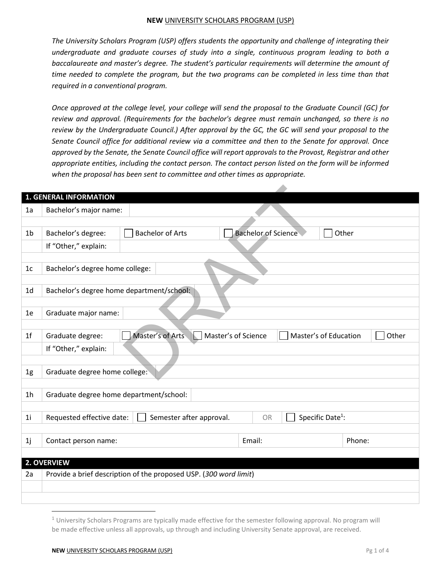## **NEW** UNIVERSITY SCHOLARS PROGRAM (USP)

*The University Scholars Program (USP) offers students the opportunity and challenge of integrating their undergraduate and graduate courses of study into a single, continuous program leading to both a baccalaureate and master's degree. The student's particular requirements will determine the amount of time needed to complete the program, but the two programs can be completed in less time than that required in a conventional program.* 

*Once approved at the college level, your college will send the proposal to the Graduate Council (GC) for review and approval. (Requirements for the bachelor's degree must remain unchanged, so there is no review by the Undergraduate Council.) After approval by the GC, the GC will send your proposal to the Senate Council office for additional review via a committee and then to the Senate for approval. Once approved by the Senate, the Senate Council office will report approvals to the Provost, Registrar and other appropriate entities, including the contact person. The contact person listed on the form will be informed when the proposal has been sent to committee and other times as appropriate.* 

|                | <b>1. GENERAL INFORMATION</b>           |                                                                   |                                              |        |
|----------------|-----------------------------------------|-------------------------------------------------------------------|----------------------------------------------|--------|
| 1a             | Bachelor's major name:                  |                                                                   |                                              |        |
|                |                                         |                                                                   |                                              |        |
| 1 <sub>b</sub> | Bachelor's degree:                      | <b>Bachelor of Arts</b>                                           | <b>Bachelor of Science</b>                   | Other  |
|                | If "Other," explain:                    |                                                                   |                                              |        |
|                |                                         |                                                                   |                                              |        |
| 1c             | Bachelor's degree home college:         |                                                                   |                                              |        |
|                |                                         |                                                                   |                                              |        |
| 1 <sub>d</sub> |                                         | Bachelor's degree home department/school:                         |                                              |        |
|                |                                         |                                                                   |                                              |        |
| 1e             | Graduate major name:                    |                                                                   |                                              |        |
|                |                                         |                                                                   |                                              |        |
| 1 <sup>f</sup> | Graduate degree:                        | Master's of Arts<br>lk. I                                         | Master's of Science<br>Master's of Education | Other  |
|                | If "Other," explain:                    |                                                                   |                                              |        |
|                |                                         |                                                                   |                                              |        |
| 1g             | Graduate degree home college:           |                                                                   |                                              |        |
|                |                                         |                                                                   |                                              |        |
| 1 <sub>h</sub> | Graduate degree home department/school: |                                                                   |                                              |        |
|                |                                         |                                                                   |                                              |        |
| 1 <sub>i</sub> | Requested effective date:               | Semester after approval.                                          | Specific Date <sup>1</sup> :<br><b>OR</b>    |        |
|                |                                         |                                                                   |                                              |        |
| 1j             | Contact person name:                    |                                                                   | Email:                                       | Phone: |
|                |                                         |                                                                   |                                              |        |
| 2. OVERVIEW    |                                         |                                                                   |                                              |        |
| 2a             |                                         | Provide a brief description of the proposed USP. (300 word limit) |                                              |        |
|                |                                         |                                                                   |                                              |        |
|                |                                         |                                                                   |                                              |        |

l

 $1$  University Scholars Programs are typically made effective for the semester following approval. No program will be made effective unless all approvals, up through and including University Senate approval, are received.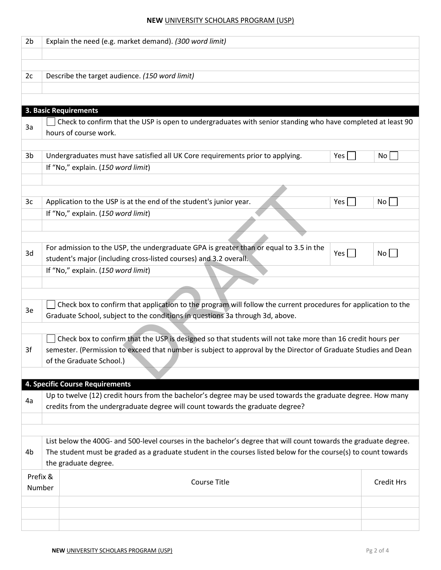## **NEW** UNIVERSITY SCHOLARS PROGRAM (USP)

| 2 <sub>b</sub>                                                                      |                                                                                                                  | Explain the need (e.g. market demand). (300 word limit)                                                         |     |                   |  |  |  |
|-------------------------------------------------------------------------------------|------------------------------------------------------------------------------------------------------------------|-----------------------------------------------------------------------------------------------------------------|-----|-------------------|--|--|--|
|                                                                                     |                                                                                                                  |                                                                                                                 |     |                   |  |  |  |
|                                                                                     |                                                                                                                  |                                                                                                                 |     |                   |  |  |  |
| 2c                                                                                  |                                                                                                                  | Describe the target audience. (150 word limit)                                                                  |     |                   |  |  |  |
|                                                                                     |                                                                                                                  |                                                                                                                 |     |                   |  |  |  |
|                                                                                     |                                                                                                                  |                                                                                                                 |     |                   |  |  |  |
|                                                                                     |                                                                                                                  | <b>3. Basic Requirements</b>                                                                                    |     |                   |  |  |  |
| 3a                                                                                  |                                                                                                                  | Check to confirm that the USP is open to undergraduates with senior standing who have completed at least 90     |     |                   |  |  |  |
|                                                                                     |                                                                                                                  | hours of course work.                                                                                           |     |                   |  |  |  |
|                                                                                     |                                                                                                                  |                                                                                                                 |     |                   |  |  |  |
| 3b                                                                                  |                                                                                                                  | Undergraduates must have satisfied all UK Core requirements prior to applying.                                  | Yes | No                |  |  |  |
|                                                                                     |                                                                                                                  | If "No," explain. (150 word limit)                                                                              |     |                   |  |  |  |
|                                                                                     |                                                                                                                  |                                                                                                                 |     |                   |  |  |  |
|                                                                                     |                                                                                                                  |                                                                                                                 |     |                   |  |  |  |
| 3c                                                                                  |                                                                                                                  | Application to the USP is at the end of the student's junior year.                                              | Yes | No                |  |  |  |
|                                                                                     |                                                                                                                  | If "No," explain. (150 word limit)                                                                              |     |                   |  |  |  |
|                                                                                     |                                                                                                                  |                                                                                                                 |     |                   |  |  |  |
|                                                                                     |                                                                                                                  |                                                                                                                 |     |                   |  |  |  |
|                                                                                     |                                                                                                                  | For admission to the USP, the undergraduate GPA is greater than or equal to 3.5 in the                          |     |                   |  |  |  |
| 3d                                                                                  |                                                                                                                  | student's major (including cross-listed courses) and 3.2 overall.                                               | Yes | No                |  |  |  |
|                                                                                     |                                                                                                                  | If "No," explain. (150 word limit)                                                                              |     |                   |  |  |  |
|                                                                                     |                                                                                                                  |                                                                                                                 |     |                   |  |  |  |
|                                                                                     |                                                                                                                  |                                                                                                                 |     |                   |  |  |  |
|                                                                                     |                                                                                                                  | Check box to confirm that application to the program will follow the current procedures for application to the  |     |                   |  |  |  |
| 3e<br>Graduate School, subject to the conditions in questions 3a through 3d, above. |                                                                                                                  |                                                                                                                 |     |                   |  |  |  |
|                                                                                     |                                                                                                                  |                                                                                                                 |     |                   |  |  |  |
|                                                                                     |                                                                                                                  | Check box to confirm that the USP is designed so that students will not take more than 16 credit hours per      |     |                   |  |  |  |
| 3f                                                                                  |                                                                                                                  | semester. (Permission to exceed that number is subject to approval by the Director of Graduate Studies and Dean |     |                   |  |  |  |
|                                                                                     |                                                                                                                  | of the Graduate School.)                                                                                        |     |                   |  |  |  |
|                                                                                     |                                                                                                                  |                                                                                                                 |     |                   |  |  |  |
|                                                                                     |                                                                                                                  | 4. Specific Course Requirements                                                                                 |     |                   |  |  |  |
|                                                                                     |                                                                                                                  | Up to twelve (12) credit hours from the bachelor's degree may be used towards the graduate degree. How many     |     |                   |  |  |  |
| 4a                                                                                  |                                                                                                                  | credits from the undergraduate degree will count towards the graduate degree?                                   |     |                   |  |  |  |
|                                                                                     |                                                                                                                  |                                                                                                                 |     |                   |  |  |  |
|                                                                                     |                                                                                                                  |                                                                                                                 |     |                   |  |  |  |
|                                                                                     | List below the 400G- and 500-level courses in the bachelor's degree that will count towards the graduate degree. |                                                                                                                 |     |                   |  |  |  |
| 4b                                                                                  |                                                                                                                  | The student must be graded as a graduate student in the courses listed below for the course(s) to count towards |     |                   |  |  |  |
|                                                                                     |                                                                                                                  | the graduate degree.                                                                                            |     |                   |  |  |  |
| Prefix &                                                                            |                                                                                                                  |                                                                                                                 |     |                   |  |  |  |
| Number                                                                              |                                                                                                                  | <b>Course Title</b>                                                                                             |     | <b>Credit Hrs</b> |  |  |  |
|                                                                                     |                                                                                                                  |                                                                                                                 |     |                   |  |  |  |
|                                                                                     |                                                                                                                  |                                                                                                                 |     |                   |  |  |  |
|                                                                                     |                                                                                                                  |                                                                                                                 |     |                   |  |  |  |
|                                                                                     |                                                                                                                  |                                                                                                                 |     |                   |  |  |  |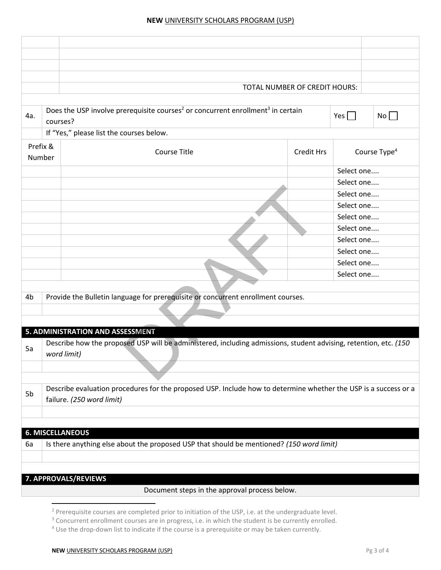|                         |          | TOTAL NUMBER OF CREDIT HOURS:                                                                                                                |                   |                          |           |
|-------------------------|----------|----------------------------------------------------------------------------------------------------------------------------------------------|-------------------|--------------------------|-----------|
|                         |          |                                                                                                                                              |                   |                          |           |
| 4a.                     | courses? | Does the USP involve prerequisite courses <sup>2</sup> or concurrent enrollment <sup>3</sup> in certain                                      |                   | Yes $\Box$               | $No \Box$ |
|                         |          | If "Yes," please list the courses below.                                                                                                     |                   |                          |           |
| Prefix &<br>Number      |          | <b>Course Title</b>                                                                                                                          | <b>Credit Hrs</b> | Course Type <sup>4</sup> |           |
|                         |          |                                                                                                                                              |                   | Select one               |           |
|                         |          |                                                                                                                                              |                   | Select one               |           |
|                         |          |                                                                                                                                              |                   | Select one               |           |
|                         |          |                                                                                                                                              |                   | Select one               |           |
|                         |          |                                                                                                                                              |                   | Select one               |           |
|                         |          |                                                                                                                                              |                   | Select one               |           |
|                         |          |                                                                                                                                              |                   | Select one               |           |
|                         |          |                                                                                                                                              |                   | Select one               |           |
|                         |          |                                                                                                                                              |                   | Select one               |           |
|                         |          |                                                                                                                                              |                   | Select one               |           |
|                         |          |                                                                                                                                              |                   |                          |           |
| 4b                      |          | Provide the Bulletin language for prerequisite or concurrent enrollment courses.                                                             |                   |                          |           |
|                         |          |                                                                                                                                              |                   |                          |           |
|                         |          |                                                                                                                                              |                   |                          |           |
|                         |          | 5. ADMINISTRATION AND ASSESSMENT                                                                                                             |                   |                          |           |
| 5a                      |          | Describe how the proposed USP will be administered, including admissions, student advising, retention, etc. (150<br>word limit)              |                   |                          |           |
|                         |          |                                                                                                                                              |                   |                          |           |
| 5b                      |          | Describe evaluation procedures for the proposed USP. Include how to determine whether the USP is a success or a<br>failure. (250 word limit) |                   |                          |           |
|                         |          |                                                                                                                                              |                   |                          |           |
|                         |          |                                                                                                                                              |                   |                          |           |
| <b>6. MISCELLANEOUS</b> |          |                                                                                                                                              |                   |                          |           |
| 6a                      |          | Is there anything else about the proposed USP that should be mentioned? (150 word limit)                                                     |                   |                          |           |
|                         |          |                                                                                                                                              |                   |                          |           |
|                         |          |                                                                                                                                              |                   |                          |           |
|                         |          | 7. APPROVALS/REVIEWS                                                                                                                         |                   |                          |           |
|                         |          | Document steps in the approval process below.                                                                                                |                   |                          |           |

 2 Prerequisite courses are completed prior to initiation of the USP, i.e. at the undergraduate level.

<sup>&</sup>lt;sup>3</sup> Concurrent enrollment courses are in progress, i.e. in which the student is be currently enrolled.

<sup>&</sup>lt;sup>4</sup> Use the drop-down list to indicate if the course is a prerequisite or may be taken currently.